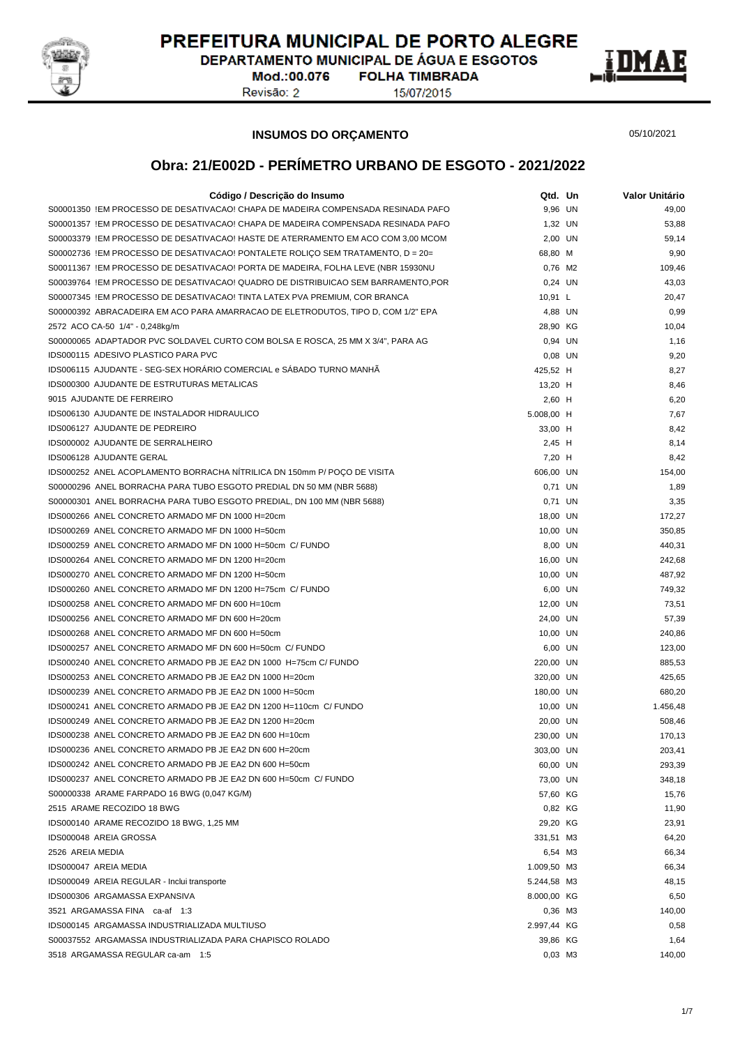

DEPARTAMENTO MUNICIPAL DE ÁGUA E ESGOTOS

Mod.:00.076 Revisão: 2

**FOLHA TIMBRADA** 15/07/2015



#### **INSUMOS DO ORÇAMENTO**

05/10/2021

| Código / Descrição do Insumo                                                     | Qtd. Un               | Valor Unitário |
|----------------------------------------------------------------------------------|-----------------------|----------------|
| S00001350 !EM PROCESSO DE DESATIVACAO! CHAPA DE MADEIRA COMPENSADA RESINADA PAFO | 9,96 UN               | 49,00          |
| S00001357 !EM PROCESSO DE DESATIVACAO! CHAPA DE MADEIRA COMPENSADA RESINADA PAFO | 1,32 UN               | 53,88          |
| S00003379 !EM PROCESSO DE DESATIVACAO! HASTE DE ATERRAMENTO EM ACO COM 3,00 MCOM | 2,00 UN               | 59,14          |
| S00002736 !EM PROCESSO DE DESATIVACAO! PONTALETE ROLIÇO SEM TRATAMENTO, D = 20=  | 68,80 M               | 9,90           |
| S00011367 !EM PROCESSO DE DESATIVACAO! PORTA DE MADEIRA, FOLHA LEVE (NBR 15930NU | 0.76 M2               | 109,46         |
| S00039764 !EM PROCESSO DE DESATIVACAO! QUADRO DE DISTRIBUICAO SEM BARRAMENTO,POR | 0,24 UN               | 43,03          |
| S00007345 !EM PROCESSO DE DESATIVACAO! TINTA LATEX PVA PREMIUM, COR BRANCA       | 10,91 L               | 20,47          |
| S00000392 ABRACADEIRA EM ACO PARA AMARRACAO DE ELETRODUTOS, TIPO D, COM 1/2" EPA | 4,88 UN               | 0,99           |
| 2572 ACO CA-50 1/4" - 0,248kg/m                                                  | 28,90 KG              | 10,04          |
| S00000065 ADAPTADOR PVC SOLDAVEL CURTO COM BOLSA E ROSCA, 25 MM X 3/4", PARA AG  | 0,94 UN               | 1,16           |
| IDS000115 ADESIVO PLASTICO PARA PVC                                              | 0,08 UN               | 9,20           |
| IDS006115 AJUDANTE - SEG-SEX HORÁRIO COMERCIAL e SÁBADO TURNO MANHÃ              | 425,52 H              | 8,27           |
| IDS000300 AJUDANTE DE ESTRUTURAS METALICAS                                       | 13,20 H               | 8,46           |
| 9015 AJUDANTE DE FERREIRO                                                        | 2,60 H                | 6,20           |
| IDS006130 AJUDANTE DE INSTALADOR HIDRAULICO                                      | 5.008,00 H            | 7,67           |
| IDS006127 AJUDANTE DE PEDREIRO                                                   | 33,00 H               | 8,42           |
| IDS000002 AJUDANTE DE SERRALHEIRO                                                | $2,45$ H              | 8,14           |
| IDS006128 AJUDANTE GERAL                                                         | 7,20 H                | 8,42           |
| IDS000252 ANEL ACOPLAMENTO BORRACHA NITRILICA DN 150mm P/ POÇO DE VISITA         | 606,00 UN             | 154,00         |
| S00000296 ANEL BORRACHA PARA TUBO ESGOTO PREDIAL DN 50 MM (NBR 5688)             | 0,71 UN               | 1,89           |
| S00000301 ANEL BORRACHA PARA TUBO ESGOTO PREDIAL, DN 100 MM (NBR 5688)           | 0,71 UN               | 3,35           |
| IDS000266 ANEL CONCRETO ARMADO MF DN 1000 H=20cm                                 | 18,00 UN              | 172,27         |
| IDS000269 ANEL CONCRETO ARMADO MF DN 1000 H=50cm                                 | 10,00 UN              | 350,85         |
| IDS000259 ANEL CONCRETO ARMADO MF DN 1000 H=50cm C/ FUNDO                        | 8,00 UN               | 440,31         |
| IDS000264 ANEL CONCRETO ARMADO MF DN 1200 H=20cm                                 | 16,00 UN              | 242,68         |
| IDS000270 ANEL CONCRETO ARMADO MF DN 1200 H=50cm                                 | 10,00 UN              | 487,92         |
| IDS000260 ANEL CONCRETO ARMADO MF DN 1200 H=75cm C/ FUNDO                        | 6,00 UN               | 749,32         |
| IDS000258 ANEL CONCRETO ARMADO MF DN 600 H=10cm                                  | 12,00 UN              | 73,51          |
| IDS000256 ANEL CONCRETO ARMADO MF DN 600 H=20cm                                  | 24,00 UN              | 57,39          |
| IDS000268 ANEL CONCRETO ARMADO MF DN 600 H=50cm                                  | 10,00 UN              | 240,86         |
| IDS000257 ANEL CONCRETO ARMADO MF DN 600 H=50cm C/ FUNDO                         | 6,00 UN               | 123,00         |
| IDS000240 ANEL CONCRETO ARMADO PB JE EA2 DN 1000 H=75cm C/ FUNDO                 | 220,00 UN             | 885,53         |
| IDS000253 ANEL CONCRETO ARMADO PB JE EA2 DN 1000 H=20cm                          | 320,00 UN             | 425,65         |
| IDS000239 ANEL CONCRETO ARMADO PB JE EA2 DN 1000 H=50cm                          | 180,00 UN             | 680,20         |
| IDS000241 ANEL CONCRETO ARMADO PB JE EA2 DN 1200 H=110cm C/ FUNDO                | 10,00 UN              | 1.456,48       |
| IDS000249 ANEL CONCRETO ARMADO PB JE EA2 DN 1200 H=20cm                          | 20,00 UN              | 508,46         |
| IDS000238 ANEL CONCRETO ARMADO PB JE EA2 DN 600 H=10cm                           | 230,00 UN             | 170,13         |
| IDS000236 ANEL CONCRETO ARMADO PB JE EA2 DN 600 H=20cm                           |                       | 203,41         |
| IDS000242 ANEL CONCRETO ARMADO PB JE EA2 DN 600 H=50cm                           | 303,00 UN<br>60,00 UN | 293,39         |
| IDS000237 ANEL CONCRETO ARMADO PB JE EA2 DN 600 H=50cm C/ FUNDO                  | 73,00 UN              | 348,18         |
| S00000338 ARAME FARPADO 16 BWG (0,047 KG/M)                                      | 57,60 KG              | 15,76          |
| 2515 ARAME RECOZIDO 18 BWG                                                       | 0,82 KG               | 11,90          |
| IDS000140 ARAME RECOZIDO 18 BWG, 1,25 MM                                         | 29,20 KG              |                |
|                                                                                  |                       | 23,91          |
| IDS000048 AREIA GROSSA                                                           | 331,51 M3             | 64,20          |
| 2526 AREIA MEDIA                                                                 | 6,54 M3               | 66,34          |
| IDS000047 AREIA MEDIA                                                            | 1.009,50 M3           | 66,34          |
| IDS000049 AREIA REGULAR - Inclui transporte                                      | 5.244,58 M3           | 48,15          |
| IDS000306 ARGAMASSA EXPANSIVA                                                    | 8.000,00 KG           | 6,50           |
| 3521 ARGAMASSA FINA ca-af 1:3                                                    | 0,36 M3               | 140,00         |
| IDS000145 ARGAMASSA INDUSTRIALIZADA MULTIUSO                                     | 2.997,44 KG           | 0,58           |
| S00037552 ARGAMASSA INDUSTRIALIZADA PARA CHAPISCO ROLADO                         | 39,86 KG              | 1,64           |
| 3518 ARGAMASSA REGULAR ca-am 1:5                                                 | 0,03 M3               | 140,00         |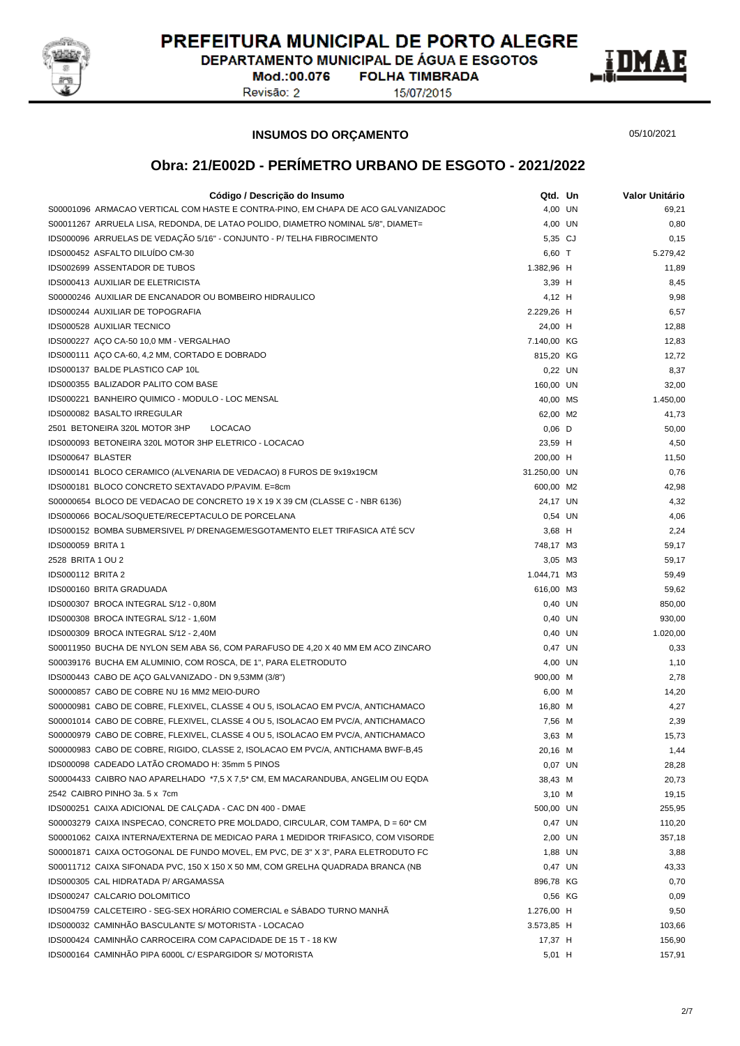

DEPARTAMENTO MUNICIPAL DE ÁGUA E ESGOTOS **FOLHA TIMBRADA** 

Mod.:00.076 Revisão: 2

15/07/2015



#### **INSUMOS DO ORÇAMENTO**

05/10/2021

| Código / Descrição do Insumo                                                     | Qtd. Un      | Valor Unitário |
|----------------------------------------------------------------------------------|--------------|----------------|
| S00001096 ARMACAO VERTICAL COM HASTE E CONTRA-PINO, EM CHAPA DE ACO GALVANIZADOC | 4.00 UN      | 69,21          |
| S00011267 ARRUELA LISA, REDONDA, DE LATAO POLIDO, DIAMETRO NOMINAL 5/8", DIAMET= | 4,00 UN      | 0,80           |
| IDS000096 ARRUELAS DE VEDAÇÃO 5/16" - CONJUNTO - P/ TELHA FIBROCIMENTO           | 5,35 CJ      | 0,15           |
| IDS000452 ASFALTO DILUÍDO CM-30                                                  | 6,60 T       | 5.279,42       |
| <b>IDS002699 ASSENTADOR DE TUBOS</b>                                             | 1.382,96 H   | 11,89          |
| <b>IDS000413 AUXILIAR DE ELETRICISTA</b>                                         | $3,39$ H     | 8,45           |
| S00000246 AUXILIAR DE ENCANADOR OU BOMBEIRO HIDRAULICO                           | 4,12 H       | 9,98           |
| IDS000244 AUXILIAR DE TOPOGRAFIA                                                 | 2.229,26 H   | 6,57           |
| IDS000528 AUXILIAR TECNICO                                                       | 24,00 H      | 12,88          |
| IDS000227 ACO CA-50 10,0 MM - VERGALHAO                                          | 7.140,00 KG  | 12,83          |
| IDS000111 AÇO CA-60, 4,2 MM, CORTADO E DOBRADO                                   | 815,20 KG    | 12,72          |
| IDS000137 BALDE PLASTICO CAP 10L                                                 | 0,22 UN      | 8,37           |
| IDS000355 BALIZADOR PALITO COM BASE                                              | 160,00 UN    | 32,00          |
| IDS000221 BANHEIRO QUIMICO - MODULO - LOC MENSAL                                 | 40,00 MS     | 1.450,00       |
| IDS000082 BASALTO IRREGULAR                                                      | 62,00 M2     | 41,73          |
| 2501 BETONEIRA 320L MOTOR 3HP<br><b>LOCACAO</b>                                  | $0,06$ D     | 50,00          |
| IDS000093 BETONEIRA 320L MOTOR 3HP ELETRICO - LOCACAO                            | 23,59 H      | 4,50           |
| IDS000647 BLASTER                                                                | 200,00 H     | 11,50          |
| IDS000141 BLOCO CERAMICO (ALVENARIA DE VEDACAO) 8 FUROS DE 9x19x19CM             | 31.250,00 UN | 0,76           |
| IDS000181 BLOCO CONCRETO SEXTAVADO P/PAVIM. E=8cm                                | 600,00 M2    | 42,98          |
| S00000654 BLOCO DE VEDACAO DE CONCRETO 19 X 19 X 39 CM (CLASSE C - NBR 6136)     | 24,17 UN     | 4,32           |
| IDS000066 BOCAL/SOQUETE/RECEPTACULO DE PORCELANA                                 | 0.54 UN      | 4,06           |
| IDS000152 BOMBA SUBMERSIVEL P/ DRENAGEM/ESGOTAMENTO ELET TRIFASICA ATÉ 5CV       | $3,68$ H     | 2,24           |
| <b>IDS000059 BRITA 1</b>                                                         | 748,17 M3    | 59,17          |
| 2528 BRITA 1 OU 2                                                                |              |                |
| <b>IDS000112 BRITA 2</b>                                                         | 3,05 M3      | 59,17          |
|                                                                                  | 1.044,71 M3  | 59,49          |
| IDS000160 BRITA GRADUADA                                                         | 616,00 M3    | 59,62          |
| IDS000307 BROCA INTEGRAL S/12 - 0,80M                                            | 0,40 UN      | 850,00         |
| IDS000308 BROCA INTEGRAL S/12 - 1,60M                                            | 0,40 UN      | 930,00         |
| IDS000309 BROCA INTEGRAL S/12 - 2,40M                                            | 0,40 UN      | 1.020,00       |
| S00011950 BUCHA DE NYLON SEM ABA S6, COM PARAFUSO DE 4,20 X 40 MM EM ACO ZINCARO | 0,47 UN      | 0,33           |
| S00039176 BUCHA EM ALUMINIO, COM ROSCA, DE 1", PARA ELETRODUTO                   | 4,00 UN      | 1,10           |
| IDS000443 CABO DE AÇO GALVANIZADO - DN 9,53MM (3/8")                             | 900,00 M     | 2,78           |
| S00000857 CABO DE COBRE NU 16 MM2 MEIO-DURO                                      | 6,00 M       | 14,20          |
| S00000981 CABO DE COBRE, FLEXIVEL, CLASSE 4 OU 5, ISOLACAO EM PVC/A, ANTICHAMACO | 16,80 M      | 4,27           |
| S00001014 CABO DE COBRE, FLEXIVEL, CLASSE 4 OU 5, ISOLACAO EM PVC/A, ANTICHAMACO | 7,56 M       | 2,39           |
| S00000979 CABO DE COBRE, FLEXIVEL, CLASSE 4 OU 5, ISOLACAO EM PVC/A, ANTICHAMACO | $3,63$ M     | 15,73          |
| S00000983 CABO DE COBRE, RIGIDO, CLASSE 2, ISOLACAO EM PVC/A, ANTICHAMA BWF-B,45 | 20,16 M      | 1,44           |
| IDS000098 CADEADO LATÃO CROMADO H: 35mm 5 PINOS                                  | 0,07 UN      | 28,28          |
| S00004433 CAIBRO NAO APARELHADO *7,5 X 7,5 * CM, EM MACARANDUBA, ANGELIM OU EQDA | 38,43 M      | 20,73          |
| 2542 CAIBRO PINHO 3a. 5 x 7cm                                                    | $3,10$ M     | 19,15          |
| IDS000251 CAIXA ADICIONAL DE CALÇADA - CAC DN 400 - DMAE                         | 500,00 UN    | 255,95         |
| S00003279 CAIXA INSPECAO, CONCRETO PRE MOLDADO, CIRCULAR, COM TAMPA, D = 60* CM  | 0,47 UN      | 110,20         |
| S00001062 CAIXA INTERNA/EXTERNA DE MEDICAO PARA 1 MEDIDOR TRIFASICO, COM VISORDE | 2,00 UN      | 357,18         |
| S00001871 CAIXA OCTOGONAL DE FUNDO MOVEL, EM PVC, DE 3" X 3", PARA ELETRODUTO FC | 1,88 UN      | 3,88           |
| S00011712 CAIXA SIFONADA PVC, 150 X 150 X 50 MM, COM GRELHA QUADRADA BRANCA (NB  | 0,47 UN      | 43,33          |
| IDS000305 CAL HIDRATADA P/ ARGAMASSA                                             | 896,78 KG    | 0,70           |
| IDS000247 CALCARIO DOLOMITICO                                                    | 0,56 KG      | 0,09           |
| IDS004759 CALCETEIRO - SEG-SEX HORÁRIO COMERCIAL e SÁBADO TURNO MANHÃ            | 1.276,00 H   | 9,50           |
| IDS000032 CAMINHÃO BASCULANTE S/ MOTORISTA - LOCACAO                             | 3.573,85 H   | 103,66         |
| IDS000424 CAMINHÃO CARROCEIRA COM CAPACIDADE DE 15 T - 18 KW                     | 17,37 H      | 156,90         |
| IDS000164 CAMINHÃO PIPA 6000L C/ ESPARGIDOR S/ MOTORISTA                         | $5,01$ H     | 157,91         |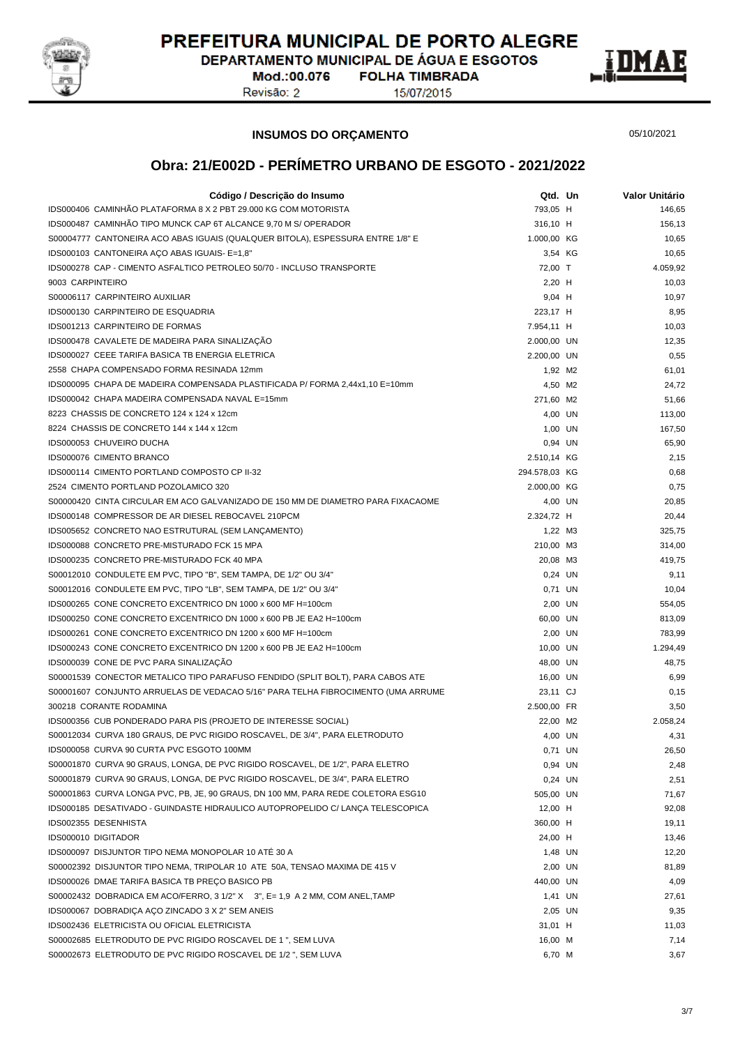

DEPARTAMENTO MUNICIPAL DE ÁGUA E ESGOTOS **FOLHA TIMBRADA** 

Mod.:00.076 Revisão: 2

15/07/2015



**INSUMOS DO ORÇAMENTO**

05/10/2021

| Código / Descrição do Insumo                                                     | Qtd. Un       | Valor Unitário |
|----------------------------------------------------------------------------------|---------------|----------------|
| IDS000406 CAMINHÃO PLATAFORMA 8 X 2 PBT 29.000 KG COM MOTORISTA                  | 793,05 H      | 146,65         |
| IDS000487 CAMINHÃO TIPO MUNCK CAP 6T ALCANCE 9.70 M S/ OPERADOR                  | 316,10 H      | 156,13         |
| S00004777 CANTONEIRA ACO ABAS IGUAIS (QUALQUER BITOLA), ESPESSURA ENTRE 1/8" E   | 1.000,00 KG   | 10,65          |
| IDS000103 CANTONEIRA AÇO ABAS IGUAIS- E=1,8"                                     | 3,54 KG       | 10,65          |
| IDS000278 CAP - CIMENTO ASFALTICO PETROLEO 50/70 - INCLUSO TRANSPORTE            | 72,00 T       | 4.059,92       |
| 9003 CARPINTEIRO                                                                 | 2,20 H        | 10,03          |
| S00006117 CARPINTEIRO AUXILIAR                                                   | $9,04$ H      | 10,97          |
| IDS000130 CARPINTEIRO DE ESQUADRIA                                               | 223,17 H      | 8,95           |
| <b>IDS001213 CARPINTEIRO DE FORMAS</b>                                           | 7.954,11 H    | 10,03          |
| IDS000478 CAVALETE DE MADEIRA PARA SINALIZAÇÃO                                   | 2.000,00 UN   | 12,35          |
| IDS000027 CEEE TARIFA BASICA TB ENERGIA ELETRICA                                 | 2.200,00 UN   | 0,55           |
| 2558 CHAPA COMPENSADO FORMA RESINADA 12mm                                        | 1,92 M2       | 61,01          |
| IDS000095 CHAPA DE MADEIRA COMPENSADA PLASTIFICADA P/ FORMA 2,44x1,10 E=10mm     | 4,50 M2       | 24,72          |
| IDS000042 CHAPA MADEIRA COMPENSADA NAVAL E=15mm                                  | 271,60 M2     | 51,66          |
| 8223 CHASSIS DE CONCRETO 124 x 124 x 12cm                                        | 4,00 UN       | 113,00         |
| 8224 CHASSIS DE CONCRETO 144 x 144 x 12cm                                        | 1,00 UN       | 167,50         |
| IDS000053 CHUVEIRO DUCHA                                                         | 0,94 UN       | 65,90          |
| IDS000076 CIMENTO BRANCO                                                         | 2.510,14 KG   | 2,15           |
| IDS000114 CIMENTO PORTLAND COMPOSTO CP II-32                                     | 294.578,03 KG | 0,68           |
| 2524 CIMENTO PORTLAND POZOLAMICO 320                                             | 2.000,00 KG   | 0,75           |
| S00000420 CINTA CIRCULAR EM ACO GALVANIZADO DE 150 MM DE DIAMETRO PARA FIXACAOME | 4,00 UN       | 20,85          |
| IDS000148 COMPRESSOR DE AR DIESEL REBOCAVEL 210PCM                               | 2.324,72 H    | 20,44          |
| IDS005652 CONCRETO NAO ESTRUTURAL (SEM LANÇAMENTO)                               | 1,22 M3       | 325,75         |
| IDS000088 CONCRETO PRE-MISTURADO FCK 15 MPA                                      | 210,00 M3     | 314,00         |
| IDS000235 CONCRETO PRE-MISTURADO FCK 40 MPA                                      | 20,08 M3      | 419,75         |
| S00012010 CONDULETE EM PVC, TIPO "B", SEM TAMPA, DE 1/2" OU 3/4"                 | 0,24 UN       | 9,11           |
| S00012016 CONDULETE EM PVC, TIPO "LB", SEM TAMPA, DE 1/2" OU 3/4"                | 0,71 UN       | 10,04          |
| IDS000265 CONE CONCRETO EXCENTRICO DN 1000 x 600 MF H=100cm                      | 2,00 UN       | 554,05         |
| IDS000250 CONE CONCRETO EXCENTRICO DN 1000 x 600 PB JE EA2 H=100cm               | 60,00 UN      | 813,09         |
| IDS000261 CONE CONCRETO EXCENTRICO DN 1200 x 600 MF H=100cm                      | 2,00 UN       | 783,99         |
| IDS000243 CONE CONCRETO EXCENTRICO DN 1200 x 600 PB JE EA2 H=100cm               | 10,00 UN      | 1.294,49       |
| IDS000039 CONE DE PVC PARA SINALIZAÇÃO                                           | 48,00 UN      | 48,75          |
| S00001539 CONECTOR METALICO TIPO PARAFUSO FENDIDO (SPLIT BOLT), PARA CABOS ATE   | 16,00 UN      | 6,99           |
| S00001607 CONJUNTO ARRUELAS DE VEDACAO 5/16" PARA TELHA FIBROCIMENTO (UMA ARRUME | 23,11 CJ      | 0,15           |
| 300218 CORANTE RODAMINA                                                          | 2.500,00 FR   | 3,50           |
| IDS000356 CUB PONDERADO PARA PIS (PROJETO DE INTERESSE SOCIAL)                   | 22,00 M2      | 2.058.24       |
| S00012034 CURVA 180 GRAUS, DE PVC RIGIDO ROSCAVEL, DE 3/4", PARA ELETRODUTO      | 4,00 UN       | 4,31           |
| IDS000058 CURVA 90 CURTA PVC ESGOTO 100MM                                        | 0,71 UN       | 26,50          |
| S00001870 CURVA 90 GRAUS, LONGA, DE PVC RIGIDO ROSCAVEL, DE 1/2", PARA ELETRO    | 0,94 UN       | 2,48           |
| S00001879 CURVA 90 GRAUS, LONGA, DE PVC RIGIDO ROSCAVEL, DE 3/4", PARA ELETRO    | 0,24 UN       | 2,51           |
| S00001863 CURVA LONGA PVC, PB, JE, 90 GRAUS, DN 100 MM, PARA REDE COLETORA ESG10 | 505,00 UN     | 71,67          |
| IDS000185 DESATIVADO - GUINDASTE HIDRAULICO AUTOPROPELIDO C/ LANÇA TELESCOPICA   | 12,00 H       | 92,08          |
| IDS002355 DESENHISTA                                                             | 360,00 H      | 19,11          |
| IDS000010 DIGITADOR                                                              | 24,00 H       | 13,46          |
| IDS000097 DISJUNTOR TIPO NEMA MONOPOLAR 10 ATE 30 A                              | 1,48 UN       | 12,20          |
| S00002392 DISJUNTOR TIPO NEMA, TRIPOLAR 10 ATE 50A, TENSAO MAXIMA DE 415 V       | 2,00 UN       | 81,89          |
| IDS000026 DMAE TARIFA BASICA TB PREÇO BASICO PB                                  | 440,00 UN     | 4,09           |
| S00002432 DOBRADICA EM ACO/FERRO, 3 1/2" X 3", E= 1,9 A 2 MM, COM ANEL, TAMP     | 1,41 UN       | 27,61          |
| IDS000067 DOBRADIÇA AÇO ZINCADO 3 X 2" SEM ANEIS                                 | 2,05 UN       | 9,35           |
| IDS002436 ELETRICISTA OU OFICIAL ELETRICISTA                                     | 31,01 H       | 11,03          |
| S00002685 ELETRODUTO DE PVC RIGIDO ROSCAVEL DE 1 ", SEM LUVA                     | 16,00 M       | 7,14           |
| S00002673 ELETRODUTO DE PVC RIGIDO ROSCAVEL DE 1/2 ", SEM LUVA                   | 6,70 M        | 3,67           |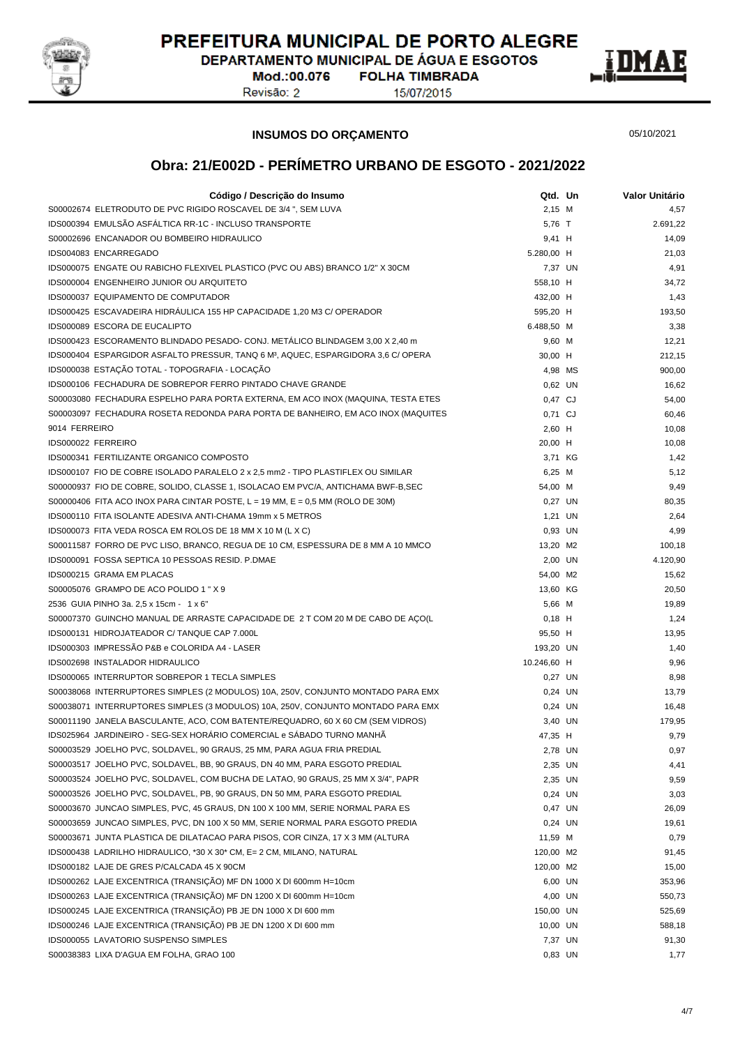

DEPARTAMENTO MUNICIPAL DE ÁGUA E ESGOTOS **FOLHA TIMBRADA** 

Mod.:00.076 Revisão: 2

15/07/2015



**INSUMOS DO ORÇAMENTO**

05/10/2021

| Código / Descrição do Insumo                                                                                                                             | Qtd. Un                | Valor Unitário |
|----------------------------------------------------------------------------------------------------------------------------------------------------------|------------------------|----------------|
| S00002674 ELETRODUTO DE PVC RIGIDO ROSCAVEL DE 3/4 ", SEM LUVA                                                                                           | 2,15 M                 | 4,57           |
| IDS000394 EMULSÃO ASFÁLTICA RR-1C - INCLUSO TRANSPORTE                                                                                                   | 5,76 T                 | 2.691,22       |
| S00002696 ENCANADOR OU BOMBEIRO HIDRAULICO                                                                                                               | 9,41 H                 | 14,09          |
| IDS004083 ENCARREGADO                                                                                                                                    | 5.280,00 H             | 21,03          |
| IDS000075 ENGATE OU RABICHO FLEXIVEL PLASTICO (PVC OU ABS) BRANCO 1/2" X 30CM                                                                            | 7,37 UN                | 4,91           |
| IDS000004 ENGENHEIRO JUNIOR OU ARQUITETO                                                                                                                 | 558,10 H               | 34,72          |
| IDS000037 EQUIPAMENTO DE COMPUTADOR                                                                                                                      | 432,00 H               | 1,43           |
| IDS000425 ESCAVADEIRA HIDRAULICA 155 HP CAPACIDADE 1,20 M3 C/ OPERADOR                                                                                   | 595,20 H               | 193,50         |
| IDS000089 ESCORA DE EUCALIPTO                                                                                                                            | 6.488,50 M             | 3,38           |
| IDS000423 ESCORAMENTO BLINDADO PESADO- CONJ. METÁLICO BLINDAGEM 3,00 X 2,40 m                                                                            | 9,60 M                 | 12,21          |
| IDS000404 ESPARGIDOR ASFALTO PRESSUR, TANQ 6 M <sup>3</sup> , AQUEC, ESPARGIDORA 3,6 C/ OPERA                                                            | 30,00 H                | 212,15         |
| IDS000038 ESTAÇÃO TOTAL - TOPOGRAFIA - LOCAÇÃO                                                                                                           | 4,98 MS                | 900,00         |
| IDS000106 FECHADURA DE SOBREPOR FERRO PINTADO CHAVE GRANDE                                                                                               | 0,62 UN                | 16,62          |
| S00003080 FECHADURA ESPELHO PARA PORTA EXTERNA, EM ACO INOX (MAQUINA, TESTA ETES                                                                         | 0,47 CJ                | 54,00          |
| S00003097 FECHADURA ROSETA REDONDA PARA PORTA DE BANHEIRO, EM ACO INOX (MAQUITES                                                                         | 0,71 CJ                | 60,46          |
| 9014 FERREIRO                                                                                                                                            | $2,60$ H               | 10,08          |
| IDS000022 FERREIRO                                                                                                                                       | 20,00 H                | 10,08          |
| IDS000341 FERTILIZANTE ORGANICO COMPOSTO                                                                                                                 | 3,71 KG                | 1,42           |
| IDS000107 FIO DE COBRE ISOLADO PARALELO 2 x 2,5 mm2 - TIPO PLASTIFLEX OU SIMILAR                                                                         | 6,25 M                 | 5,12           |
| S00000937 FIO DE COBRE, SOLIDO, CLASSE 1, ISOLACAO EM PVC/A, ANTICHAMA BWF-B,SEC                                                                         | 54,00 M                | 9,49           |
| S00000406 FITA ACO INOX PARA CINTAR POSTE, $L = 19$ MM, $E = 0.5$ MM (ROLO DE 30M)                                                                       | 0,27 UN                | 80,35          |
| IDS000110 FITA ISOLANTE ADESIVA ANTI-CHAMA 19mm x 5 METROS                                                                                               | 1,21 UN                | 2,64           |
| IDS000073 FITA VEDA ROSCA EM ROLOS DE 18 MM X 10 M (L X C)                                                                                               | 0,93 UN                | 4,99           |
| S00011587 FORRO DE PVC LISO, BRANCO, REGUA DE 10 CM, ESPESSURA DE 8 MM A 10 MMCO                                                                         | 13,20 M2               | 100,18         |
| IDS000091 FOSSA SEPTICA 10 PESSOAS RESID. P.DMAE                                                                                                         | 2,00 UN                | 4.120,90       |
| IDS000215 GRAMA EM PLACAS                                                                                                                                | 54,00 M2               | 15,62          |
| S00005076 GRAMPO DE ACO POLIDO 1 " X 9                                                                                                                   | 13,60 KG               | 20,50          |
| 2536 GUIA PINHO 3a. 2,5 x 15cm - 1 x 6"                                                                                                                  | 5,66 M                 | 19,89          |
| S00007370 GUINCHO MANUAL DE ARRASTE CAPACIDADE DE 2 T COM 20 M DE CABO DE AÇO(L                                                                          | $0,18$ H               | 1,24           |
| IDS000131 HIDROJATEADOR C/ TANQUE CAP 7.000L                                                                                                             | 95,50 H                | 13,95          |
| IDS000303 IMPRESSÃO P&B e COLORIDA A4 - LASER                                                                                                            | 193,20 UN              | 1,40           |
| IDS002698 INSTALADOR HIDRAULICO                                                                                                                          |                        | 9,96           |
|                                                                                                                                                          | 10.246,60 H<br>0.27 UN |                |
| IDS000065 INTERRUPTOR SOBREPOR 1 TECLA SIMPLES                                                                                                           |                        | 8,98           |
| S00038068 INTERRUPTORES SIMPLES (2 MODULOS) 10A, 250V, CONJUNTO MONTADO PARA EMX                                                                         | 0,24 UN                | 13,79          |
| S00038071 INTERRUPTORES SIMPLES (3 MODULOS) 10A, 250V, CONJUNTO MONTADO PARA EMX                                                                         | 0,24 UN                | 16,48          |
| S00011190 JANELA BASCULANTE, ACO, COM BATENTE/REQUADRO, 60 X 60 CM (SEM VIDROS)<br>IDS025964 JARDINEIRO - SEG-SEX HORÁRIO COMERCIAL e SÁBADO TURNO MANHÃ | 3,40 UN                | 179,95         |
|                                                                                                                                                          | 47,35 H                | 9,79           |
| S00003529 JOELHO PVC, SOLDAVEL, 90 GRAUS, 25 MM, PARA AGUA FRIA PREDIAL                                                                                  | 2,78 UN                | 0,97           |
| S00003517 JOELHO PVC, SOLDAVEL, BB, 90 GRAUS, DN 40 MM, PARA ESGOTO PREDIAL                                                                              | 2,35 UN                | 4,41           |
| S00003524 JOELHO PVC, SOLDAVEL, COM BUCHA DE LATAO, 90 GRAUS, 25 MM X 3/4", PAPR                                                                         | 2,35 UN                | 9,59           |
| S00003526 JOELHO PVC, SOLDAVEL, PB, 90 GRAUS, DN 50 MM, PARA ESGOTO PREDIAL                                                                              | 0,24 UN                | 3,03           |
| S00003670 JUNCAO SIMPLES, PVC, 45 GRAUS, DN 100 X 100 MM, SERIE NORMAL PARA ES                                                                           | 0,47 UN                | 26,09          |
| S00003659 JUNCAO SIMPLES, PVC, DN 100 X 50 MM, SERIE NORMAL PARA ESGOTO PREDIA                                                                           | 0,24 UN                | 19,61          |
| S00003671 JUNTA PLASTICA DE DILATACAO PARA PISOS, COR CINZA, 17 X 3 MM (ALTURA                                                                           | 11,59 M                | 0,79           |
| IDS000438 LADRILHO HIDRAULICO, *30 X 30* CM, E= 2 CM, MILANO, NATURAL                                                                                    | 120,00 M2              | 91,45          |
| IDS000182 LAJE DE GRES P/CALCADA 45 X 90CM                                                                                                               | 120,00 M2              | 15,00          |
| IDS000262 LAJE EXCENTRICA (TRANSIÇÃO) MF DN 1000 X DI 600mm H=10cm                                                                                       | 6,00 UN                | 353,96         |
| IDS000263 LAJE EXCENTRICA (TRANSIÇÃO) MF DN 1200 X DI 600mm H=10cm                                                                                       | 4,00 UN                | 550,73         |
| IDS000245 LAJE EXCENTRICA (TRANSIÇÃO) PB JE DN 1000 X DI 600 mm                                                                                          | 150,00 UN              | 525,69         |
| IDS000246 LAJE EXCENTRICA (TRANSIÇÃO) PB JE DN 1200 X DI 600 mm                                                                                          | 10,00 UN               | 588,18         |
| IDS000055 LAVATORIO SUSPENSO SIMPLES                                                                                                                     | 7,37 UN                | 91,30          |
| S00038383 LIXA D'AGUA EM FOLHA, GRAO 100                                                                                                                 | 0,83 UN                | 1,77           |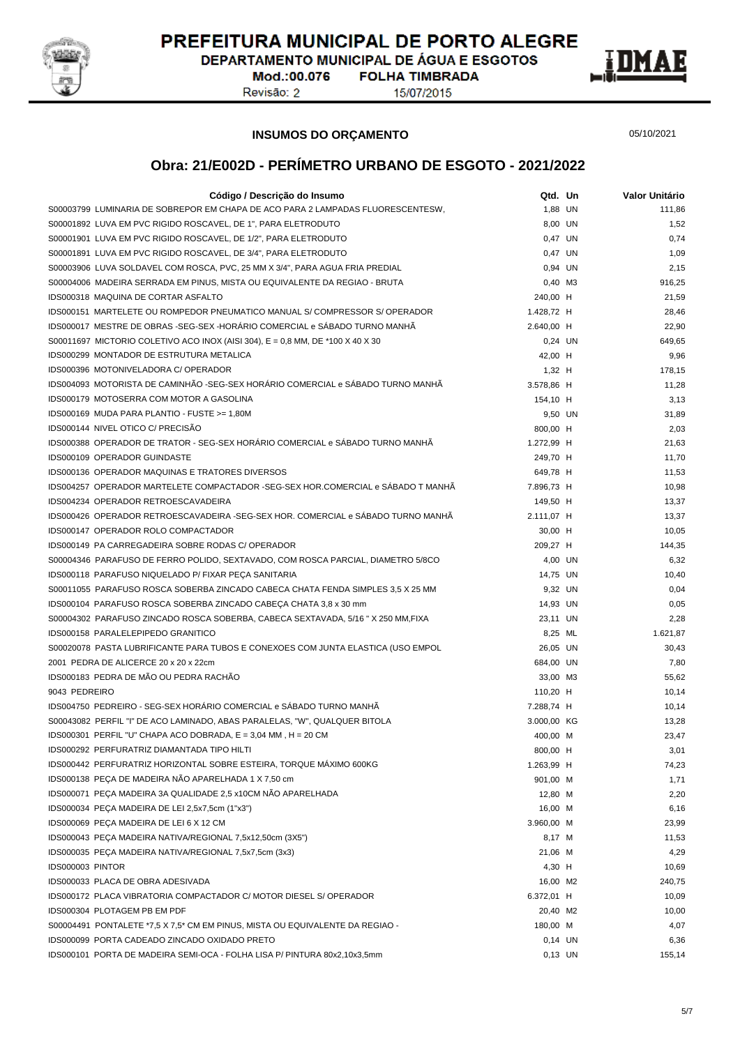

DEPARTAMENTO MUNICIPAL DE ÁGUA E ESGOTOS

Mod.:00.076 Revisão: 2

**FOLHA TIMBRADA** 15/07/2015



#### **INSUMOS DO ORÇAMENTO**

05/10/2021

| Código / Descrição do Insumo                                                      | Qtd. Un                | Valor Unitário |
|-----------------------------------------------------------------------------------|------------------------|----------------|
| S00003799 LUMINARIA DE SOBREPOR EM CHAPA DE ACO PARA 2 LAMPADAS FLUORESCENTESW,   | 1.88 UN                | 111.86         |
| S00001892 LUVA EM PVC RIGIDO ROSCAVEL, DE 1", PARA ELETRODUTO                     | 8,00 UN                | 1,52           |
| S00001901 LUVA EM PVC RIGIDO ROSCAVEL, DE 1/2", PARA ELETRODUTO                   | 0,47 UN                | 0,74           |
| S00001891 LUVA EM PVC RIGIDO ROSCAVEL, DE 3/4", PARA ELETRODUTO                   | 0,47 UN                | 1,09           |
| S00003906 LUVA SOLDAVEL COM ROSCA, PVC, 25 MM X 3/4", PARA AGUA FRIA PREDIAL      | 0,94 UN                | 2,15           |
| S00004006 MADEIRA SERRADA EM PINUS, MISTA OU EQUIVALENTE DA REGIAO - BRUTA        | 0,40 M3                | 916,25         |
| IDS000318 MAQUINA DE CORTAR ASFALTO                                               | 240,00 H               | 21,59          |
| IDS000151 MARTELETE OU ROMPEDOR PNEUMATICO MANUAL S/ COMPRESSOR S/ OPERADOR       | 1.428,72 H             | 28,46          |
| IDS000017 MESTRE DE OBRAS -SEG-SEX -HORÁRIO COMERCIAL e SÁBADO TURNO MANHÃ        | 2.640,00 H             | 22,90          |
| S00011697 MICTORIO COLETIVO ACO INOX (AISI 304), $E = 0.8$ MM, DE *100 X 40 X 30  | 0,24 UN                | 649,65         |
| <b>IDS000299 MONTADOR DE ESTRUTURA METALICA</b>                                   | 42,00 H                | 9,96           |
| IDS000396 MOTONIVELADORA C/ OPERADOR                                              | $1,32$ H               | 178,15         |
| IDS004093 MOTORISTA DE CAMINHÃO -SEG-SEX HORÁRIO COMERCIAL e SÁBADO TURNO MANHÃ   | 3.578,86 H             | 11,28          |
| IDS000179 MOTOSERRA COM MOTOR A GASOLINA                                          | 154,10 H               | 3,13           |
| IDS000169 MUDA PARA PLANTIO - FUSTE >= 1,80M                                      | 9,50 UN                | 31,89          |
| IDS000144 NIVEL OTICO C/ PRECISÃO                                                 |                        |                |
|                                                                                   | 800,00 H               | 2,03           |
| IDS000388 OPERADOR DE TRATOR - SEG-SEX HORÁRIO COMERCIAL e SÁBADO TURNO MANHÃ     | 1.272,99 H             | 21,63          |
| IDS000109 OPERADOR GUINDASTE                                                      | 249,70 H               | 11,70          |
| <b>IDS000136 OPERADOR MAQUINAS E TRATORES DIVERSOS</b>                            | 649,78 H               | 11,53          |
| IDS004257 OPERADOR MARTELETE COMPACTADOR -SEG-SEX HOR.COMERCIAL e SÁBADO T MANHÃ  | 7.896,73 H             | 10,98          |
| IDS004234 OPERADOR RETROESCAVADEIRA                                               | 149,50 H               | 13,37          |
| IDS000426 OPERADOR RETROESCAVADEIRA -SEG-SEX HOR. COMERCIAL e SÁBADO TURNO MANHÃ  | 2.111,07 H             | 13,37          |
| IDS000147 OPERADOR ROLO COMPACTADOR                                               | 30,00 H                | 10,05          |
| IDS000149 PA CARREGADEIRA SOBRE RODAS C/ OPERADOR                                 | 209,27 H               | 144,35         |
| S00004346 PARAFUSO DE FERRO POLIDO, SEXTAVADO, COM ROSCA PARCIAL, DIAMETRO 5/8CO  | 4,00 UN                | 6,32           |
| IDS000118 PARAFUSO NIQUELADO P/ FIXAR PEÇA SANITARIA                              | 14,75 UN               | 10,40          |
| S00011055 PARAFUSO ROSCA SOBERBA ZINCADO CABECA CHATA FENDA SIMPLES 3,5 X 25 MM   | 9,32 UN                | 0,04           |
| IDS000104 PARAFUSO ROSCA SOBERBA ZINCADO CABEÇA CHATA 3,8 x 30 mm                 | 14,93 UN               | 0,05           |
| S00004302 PARAFUSO ZINCADO ROSCA SOBERBA, CABECA SEXTAVADA, 5/16 " X 250 MM, FIXA | 23,11 UN               | 2,28           |
| IDS000158 PARALELEPIPEDO GRANITICO                                                | 8,25 ML                | 1.621,87       |
| S00020078 PASTA LUBRIFICANTE PARA TUBOS E CONEXOES COM JUNTA ELASTICA (USO EMPOL  | 26,05 UN               | 30,43          |
| 2001 PEDRA DE ALICERCE 20 x 20 x 22cm                                             | 684,00 UN              | 7,80           |
| IDS000183 PEDRA DE MÃO OU PEDRA RACHÃO                                            | 33,00 M3               | 55,62          |
| 9043 PEDREIRO                                                                     | 110,20 H               | 10,14          |
| IDS004750 PEDREIRO - SEG-SEX HORÁRIO COMERCIAL e SÁBADO TURNO MANHÃ               | 7.288,74 H             | 10,14          |
| S00043082 PERFIL "I" DE ACO LAMINADO, ABAS PARALELAS, "W", QUALQUER BITOLA        | 3.000,00 KG            | 13,28          |
| IDS000301 PERFIL "U" CHAPA ACO DOBRADA, E = 3,04 MM, H = 20 CM                    | 400,00 M               | 23,47          |
| IDS000292 PERFURATRIZ DIAMANTADA TIPO HILTI                                       | 800,00 H               | 3,01           |
| IDS000442 PERFURATRIZ HORIZONTAL SOBRE ESTEIRA, TORQUE MAXIMO 600KG               | 1.263,99 H             | 74,23          |
| IDS000138 PEÇA DE MADEIRA NÃO APARELHADA 1 X 7,50 cm                              | 901,00 M               | 1,71           |
| IDS000071 PEÇA MADEIRA 3A QUALIDADE 2,5 x10CM NÃO APARELHADA                      | 12,80 M                | 2,20           |
| IDS000034 PEÇA MADEIRA DE LEI 2,5x7,5cm (1"x3")                                   | 16,00 M                | 6,16           |
| IDS000069 PEÇA MADEIRA DE LEI 6 X 12 CM                                           | 3.960,00 M             | 23,99          |
| IDS000043 PEÇA MADEIRA NATIVA/REGIONAL 7,5x12,50cm (3X5")                         | 8,17 M                 | 11,53          |
| IDS000035 PEÇA MADEIRA NATIVA/REGIONAL 7,5x7,5cm (3x3)                            | 21,06 M                | 4,29           |
| IDS000003 PINTOR                                                                  | 4,30 H                 | 10,69          |
| IDS000033 PLACA DE OBRA ADESIVADA                                                 |                        |                |
| IDS000172 PLACA VIBRATORIA COMPACTADOR C/ MOTOR DIESEL S/ OPERADOR                | 16,00 M2<br>6.372,01 H | 240,75         |
|                                                                                   |                        | 10,09          |
| IDS000304 PLOTAGEM PB EM PDF                                                      | 20,40 M2               | 10,00          |
| S00004491 PONTALETE *7,5 X 7,5 * CM EM PINUS, MISTA OU EQUIVALENTE DA REGIAO -    | 180,00 M               | 4,07           |
| IDS000099 PORTA CADEADO ZINCADO OXIDADO PRETO                                     | $0,14$ UN              | 6,36           |
| IDS000101 PORTA DE MADEIRA SEMI-OCA - FOLHA LISA P/ PINTURA 80x2,10x3,5mm         | 0,13 UN                | 155,14         |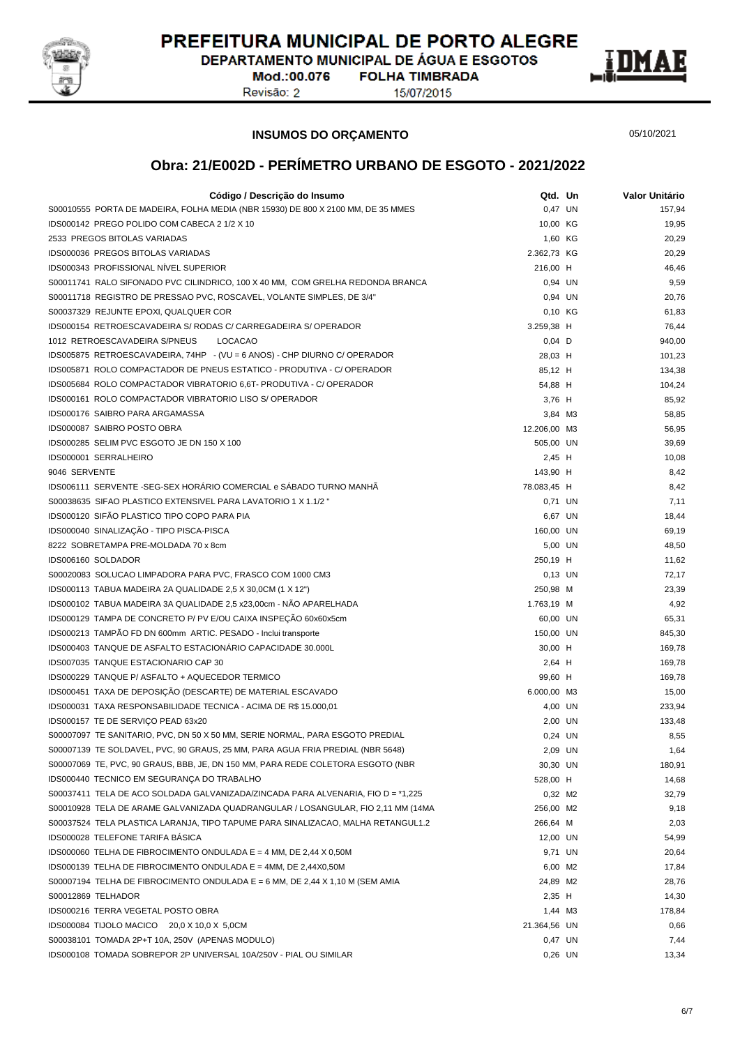

DEPARTAMENTO MUNICIPAL DE ÁGUA E ESGOTOS **FOLHA TIMBRADA** 

Mod.:00.076 Revisão: 2

15/07/2015



**INSUMOS DO ORÇAMENTO**

05/10/2021

| Código / Descrição do Insumo                                                     | Qtd. Un      | <b>Valor Unitário</b> |
|----------------------------------------------------------------------------------|--------------|-----------------------|
| S00010555 PORTA DE MADEIRA, FOLHA MEDIA (NBR 15930) DE 800 X 2100 MM, DE 35 MMES | 0,47 UN      | 157,94                |
| IDS000142 PREGO POLIDO COM CABECA 2 1/2 X 10                                     | 10,00 KG     | 19,95                 |
| 2533 PREGOS BITOLAS VARIADAS                                                     | 1,60 KG      | 20,29                 |
| IDS000036 PREGOS BITOLAS VARIADAS                                                | 2.362,73 KG  | 20,29                 |
| <b>IDS000343 PROFISSIONAL NIVEL SUPERIOR</b>                                     | 216,00 H     | 46,46                 |
| S00011741 RALO SIFONADO PVC CILINDRICO, 100 X 40 MM, COM GRELHA REDONDA BRANCA   | 0,94 UN      | 9,59                  |
| S00011718 REGISTRO DE PRESSAO PVC, ROSCAVEL, VOLANTE SIMPLES, DE 3/4"            | 0,94 UN      | 20,76                 |
| S00037329 REJUNTE EPOXI, QUALQUER COR                                            | 0,10 KG      | 61,83                 |
| IDS000154 RETROESCAVADEIRA S/ RODAS C/ CARREGADEIRA S/ OPERADOR                  | 3.259,38 H   | 76,44                 |
| 1012 RETROESCAVADEIRA S/PNEUS<br><b>LOCACAO</b>                                  | $0,04$ D     | 940,00                |
| IDS005875 RETROESCAVADEIRA, 74HP - (VU = 6 ANOS) - CHP DIURNO C/ OPERADOR        | 28,03 H      | 101,23                |
| IDS005871 ROLO COMPACTADOR DE PNEUS ESTATICO - PRODUTIVA - C/ OPERADOR           | 85,12 H      | 134,38                |
| IDS005684 ROLO COMPACTADOR VIBRATORIO 6,6T- PRODUTIVA - C/ OPERADOR              | 54,88 H      | 104,24                |
| IDS000161 ROLO COMPACTADOR VIBRATORIO LISO S/ OPERADOR                           | 3,76 H       | 85,92                 |
| IDS000176 SAIBRO PARA ARGAMASSA                                                  | 3,84 M3      | 58,85                 |
| IDS000087 SAIBRO POSTO OBRA                                                      | 12.206,00 M3 | 56,95                 |
| IDS000285 SELIM PVC ESGOTO JE DN 150 X 100                                       | 505,00 UN    | 39,69                 |
| IDS000001 SERRALHEIRO                                                            | 2,45 H       | 10,08                 |
| 9046 SERVENTE                                                                    | 143,90 H     | 8,42                  |
| IDS006111 SERVENTE - SEG-SEX HORÁRIO COMERCIAL e SÁBADO TURNO MANHÃ              | 78.083,45 H  | 8,42                  |
| S00038635 SIFAO PLASTICO EXTENSIVEL PARA LAVATORIO 1 X 1.1/2 "                   | 0,71 UN      | 7,11                  |
| IDS000120 SIFÃO PLASTICO TIPO COPO PARA PIA                                      | 6,67 UN      | 18,44                 |
| IDS000040 SINALIZAÇÃO - TIPO PISCA-PISCA                                         | 160,00 UN    | 69,19                 |
| 8222 SOBRETAMPA PRE-MOLDADA 70 x 8cm                                             | 5,00 UN      | 48,50                 |
| IDS006160 SOLDADOR                                                               | 250,19 H     | 11,62                 |
| S00020083 SOLUCAO LIMPADORA PARA PVC, FRASCO COM 1000 CM3                        | $0,13$ UN    | 72,17                 |
| IDS000113 TABUA MADEIRA 2A QUALIDADE 2,5 X 30,0CM (1 X 12")                      | 250,98 M     | 23,39                 |
| IDS000102 TABUA MADEIRA 3A QUALIDADE 2,5 x23,00cm - NÃO APARELHADA               | 1.763,19 M   | 4,92                  |
| IDS000129 TAMPA DE CONCRETO P/ PV E/OU CAIXA INSPEÇÃO 60x60x5cm                  | 60,00 UN     | 65,31                 |
| IDS000213 TAMPÃO FD DN 600mm ARTIC. PESADO - Inclui transporte                   | 150,00 UN    | 845,30                |
| IDS000403 TANQUE DE ASFALTO ESTACIONÁRIO CAPACIDADE 30.000L                      | 30,00 H      | 169,78                |
| IDS007035 TANQUE ESTACIONARIO CAP 30                                             | 2,64 H       | 169,78                |
| IDS000229 TANQUE P/ ASFALTO + AQUECEDOR TERMICO                                  | 99,60 H      | 169,78                |
| IDS000451 TAXA DE DEPOSIÇÃO (DESCARTE) DE MATERIAL ESCAVADO                      | 6.000,00 M3  | 15,00                 |
| IDS000031 TAXA RESPONSABILIDADE TECNICA - ACIMA DE R\$ 15.000,01                 | 4,00 UN      | 233,94                |
| IDS000157 TE DE SERVIÇO PEAD 63x20                                               | 2,00 UN      | 133,48                |
| S00007097 TE SANITARIO, PVC, DN 50 X 50 MM, SERIE NORMAL, PARA ESGOTO PREDIAL    | 0,24 UN      | 8,55                  |
| S00007139 TE SOLDAVEL, PVC, 90 GRAUS, 25 MM, PARA AGUA FRIA PREDIAL (NBR 5648)   | 2,09 UN      | 1,64                  |
| S00007069_TE, PVC, 90 GRAUS, BBB, JE, DN 150 MM, PARA REDE COLETORA ESGOTO (NBR  | 30,30 UN     | 180,91                |
| IDS000440 TECNICO EM SEGURANÇA DO TRABALHO                                       | 528,00 H     | 14,68                 |
| S00037411 TELA DE ACO SOLDADA GALVANIZADA/ZINCADA PARA ALVENARIA, FIO D = *1,225 | 0,32 M2      | 32,79                 |
| S00010928 TELA DE ARAME GALVANIZADA QUADRANGULAR / LOSANGULAR, FIO 2,11 MM (14MA | 256,00 M2    | 9,18                  |
| S00037524 TELA PLASTICA LARANJA, TIPO TAPUME PARA SINALIZACAO, MALHA RETANGUL1.2 | 266,64 M     | 2,03                  |
| IDS000028 TELEFONE TARIFA BASICA                                                 | 12,00 UN     | 54,99                 |
| IDS000060 TELHA DE FIBROCIMENTO ONDULADA E = 4 MM, DE 2,44 X 0,50M               | 9,71 UN      | 20,64                 |
| IDS000139 TELHA DE FIBROCIMENTO ONDULADA E = 4MM, DE 2,44X0,50M                  | 6,00 M2      | 17,84                 |
| S00007194 TELHA DE FIBROCIMENTO ONDULADA E = 6 MM, DE 2,44 X 1,10 M (SEM AMIA    | 24,89 M2     | 28,76                 |
| S00012869 TELHADOR                                                               | $2,35$ H     | 14,30                 |
| IDS000216 TERRA VEGETAL POSTO OBRA                                               | 1,44 M3      | 178,84                |
| IDS000084 TIJOLO MACICO 20,0 X 10,0 X 5,0CM                                      | 21.364,56 UN | 0,66                  |
| S00038101 TOMADA 2P+T 10A, 250V (APENAS MODULO)                                  | 0,47 UN      | 7,44                  |
| IDS000108 TOMADA SOBREPOR 2P UNIVERSAL 10A/250V - PIAL OU SIMILAR                | 0,26 UN      | 13,34                 |
|                                                                                  |              |                       |